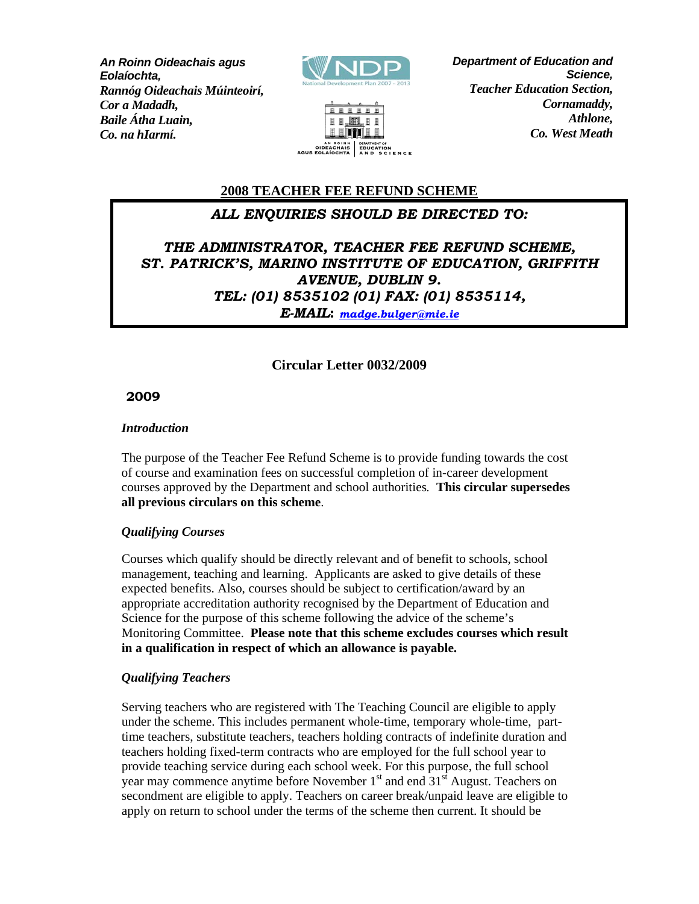*Baile Átha Luain, An Roinn Oideachais agus Eolaíochta, Rannóg Oideachais Múinteoirí, Cor a Madadh, Co. na hIarmí.*





*Department of Education and Science, Teacher Education Section, Cornamaddy, Athlone, Co. West Meath*

# **2008 TEACHER FEE REFUND SCHEME**

# *ALL ENQUIRIES SHOULD BE DIRECTED TO:*

*THE ADMINISTRATOR, TEACHER FEE REFUND SCHEME, ST. PATRICK'S, MARINO INSTITUTE OF EDUCATION, GRIFFITH AVENUE, DUBLIN 9. TEL: (01) 8535102 (01) FAX: (01) 8535114, E-MAIL***:** *madge.bulger@mie.ie*

## **Circular Letter 0032/2009**

## **2009**

### *Introduction*

The purpose of the Teacher Fee Refund Scheme is to provide funding towards the cost of course and examination fees on successful completion of in-career development courses approved by the Department and school authorities*.* **This circular supersedes all previous circulars on this scheme**.

### *Qualifying Courses*

Courses which qualify should be directly relevant and of benefit to schools, school management, teaching and learning. Applicants are asked to give details of these expected benefits. Also, courses should be subject to certification/award by an appropriate accreditation authority recognised by the Department of Education and Science for the purpose of this scheme following the advice of the scheme's Monitoring Committee. **Please note that this scheme excludes courses which result in a qualification in respect of which an allowance is payable.**

### *Qualifying Teachers*

Serving teachers who are registered with The Teaching Council are eligible to apply under the scheme. This includes permanent whole-time, temporary whole-time, parttime teachers, substitute teachers, teachers holding contracts of indefinite duration and teachers holding fixed-term contracts who are employed for the full school year to provide teaching service during each school week. For this purpose, the full school year may commence anytime before November  $1<sup>st</sup>$  and end  $31<sup>st</sup>$  August. Teachers on secondment are eligible to apply. Teachers on career break/unpaid leave are eligible to apply on return to school under the terms of the scheme then current. It should be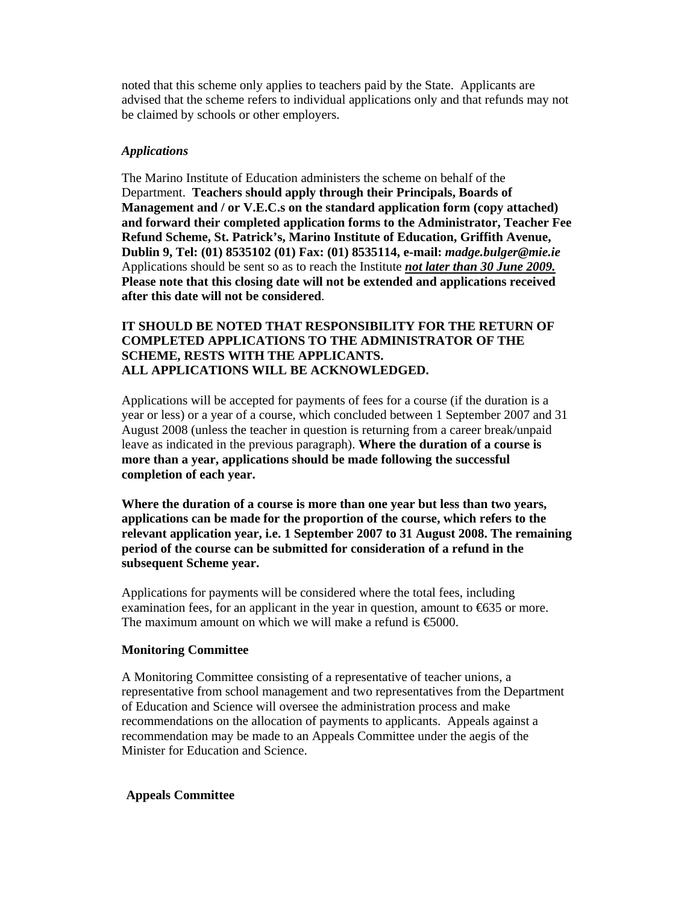noted that this scheme only applies to teachers paid by the State. Applicants are advised that the scheme refers to individual applications only and that refunds may not be claimed by schools or other employers.

#### *Applications*

The Marino Institute of Education administers the scheme on behalf of the Department. **Teachers should apply through their Principals, Boards of Management and / or V.E.C.s on the standard application form (copy attached) and forward their completed application forms to the Administrator, Teacher Fee Refund Scheme, St. Patrick's, Marino Institute of Education, Griffith Avenue, Dublin 9, Tel: (01) 8535102 (01) Fax: (01) 8535114, e-mail:** *madge.bulger@mie.ie*  Applications should be sent so as to reach the Institute *not later than 30 June 2009.* **Please note that this closing date will not be extended and applications received after this date will not be considered**.

### **IT SHOULD BE NOTED THAT RESPONSIBILITY FOR THE RETURN OF COMPLETED APPLICATIONS TO THE ADMINISTRATOR OF THE SCHEME, RESTS WITH THE APPLICANTS. ALL APPLICATIONS WILL BE ACKNOWLEDGED.**

Applications will be accepted for payments of fees for a course (if the duration is a year or less) or a year of a course, which concluded between 1 September 2007 and 31 August 2008 (unless the teacher in question is returning from a career break/unpaid leave as indicated in the previous paragraph). **Where the duration of a course is more than a year, applications should be made following the successful completion of each year.** 

**Where the duration of a course is more than one year but less than two years, applications can be made for the proportion of the course, which refers to the relevant application year, i.e. 1 September 2007 to 31 August 2008. The remaining period of the course can be submitted for consideration of a refund in the subsequent Scheme year.** 

Applications for payments will be considered where the total fees, including examination fees, for an applicant in the year in question, amount to €635 or more. The maximum amount on which we will make a refund is  $\epsilon$ 6000.

#### **Monitoring Committee**

A Monitoring Committee consisting of a representative of teacher unions, a representative from school management and two representatives from the Department of Education and Science will oversee the administration process and make recommendations on the allocation of payments to applicants. Appeals against a recommendation may be made to an Appeals Committee under the aegis of the Minister for Education and Science.

#### **Appeals Committee**